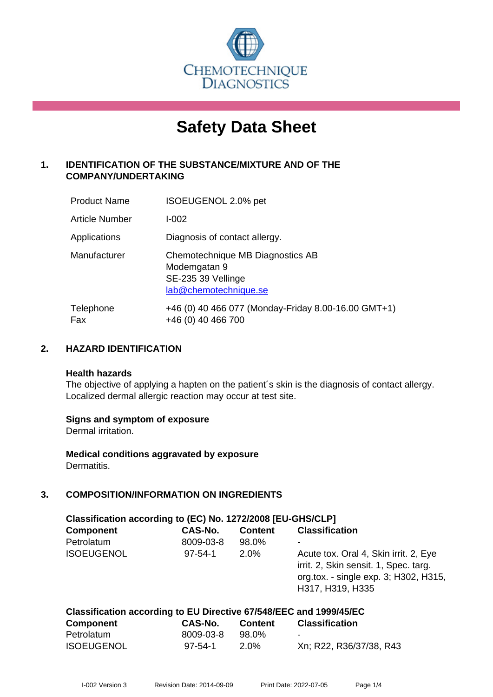

# **Safety Data Sheet**

# **1. IDENTIFICATION OF THE SUBSTANCE/MIXTURE AND OF THE COMPANY/UNDERTAKING**

| <b>Product Name</b>   | ISOEUGENOL 2.0% pet                                                                             |
|-----------------------|-------------------------------------------------------------------------------------------------|
| <b>Article Number</b> | $I - 002$                                                                                       |
| Applications          | Diagnosis of contact allergy.                                                                   |
| Manufacturer          | Chemotechnique MB Diagnostics AB<br>Modemgatan 9<br>SE-235 39 Vellinge<br>lab@chemotechnique.se |
| Telephone<br>Fax      | +46 (0) 40 466 077 (Monday-Friday 8.00-16.00 GMT+1)<br>+46 (0) 40 466 700                       |

#### **2. HAZARD IDENTIFICATION**

#### **Health hazards**

The objective of applying a hapten on the patient's skin is the diagnosis of contact allergy. Localized dermal allergic reaction may occur at test site.

#### **Signs and symptom of exposure**

Dermal irritation.

**Medical conditions aggravated by exposure** Dermatitis.

# **3. COMPOSITION/INFORMATION ON INGREDIENTS**

| Classification according to (EC) No. 1272/2008 [EU-GHS/CLP]         |               |                |                                                                                                                                             |  |
|---------------------------------------------------------------------|---------------|----------------|---------------------------------------------------------------------------------------------------------------------------------------------|--|
| <b>Component</b>                                                    | CAS-No.       | <b>Content</b> | <b>Classification</b>                                                                                                                       |  |
| Petrolatum                                                          | 8009-03-8     | 98.0%          |                                                                                                                                             |  |
| <b>ISOEUGENOL</b>                                                   | $97 - 54 - 1$ | $2.0\%$        | Acute tox. Oral 4, Skin irrit. 2, Eye<br>irrit. 2, Skin sensit. 1, Spec. targ.<br>org.tox. - single exp. 3; H302, H315,<br>H317, H319, H335 |  |
| Classification according to ELL Directive 67/5/8/EEC and 1999/45/EC |               |                |                                                                                                                                             |  |

| Classification according to LO Directive 077340/LLC and 1999/49/LC |           |                |                         |  |
|--------------------------------------------------------------------|-----------|----------------|-------------------------|--|
| <b>Component</b>                                                   | CAS-No.   | <b>Content</b> | <b>Classification</b>   |  |
| Petrolatum                                                         | 8009-03-8 | 98.0%          | $\sim$                  |  |
| <b>ISOEUGENOL</b>                                                  | 97-54-1   | $2.0\%$        | Xn; R22, R36/37/38, R43 |  |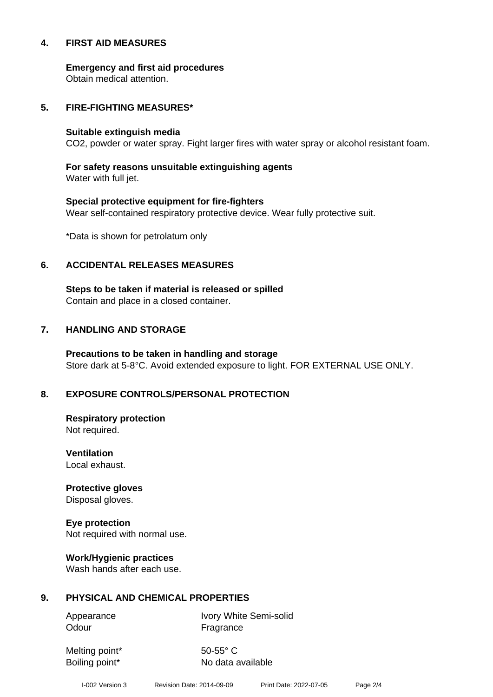#### **4. FIRST AID MEASURES**

**Emergency and first aid procedures**

Obtain medical attention.

#### **5. FIRE-FIGHTING MEASURES\***

#### **Suitable extinguish media**

CO2, powder or water spray. Fight larger fires with water spray or alcohol resistant foam.

# **For safety reasons unsuitable extinguishing agents**

Water with full jet.

# **Special protective equipment for fire-fighters** Wear self-contained respiratory protective device. Wear fully protective suit.

\*Data is shown for petrolatum only

## **6. ACCIDENTAL RELEASES MEASURES**

**Steps to be taken if material is released or spilled** Contain and place in a closed container.

# **7. HANDLING AND STORAGE**

**Precautions to be taken in handling and storage** Store dark at 5-8°C. Avoid extended exposure to light. FOR EXTERNAL USE ONLY.

# **8. EXPOSURE CONTROLS/PERSONAL PROTECTION**

**Respiratory protection** Not required.

**Ventilation** Local exhaust.

**Protective gloves** Disposal gloves.

# **Eye protection**

Not required with normal use.

#### **Work/Hygienic practices**

Wash hands after each use.

#### **9. PHYSICAL AND CHEMICAL PROPERTIES**

Odour **Fragrance** 

Appearance Ivory White Semi-solid

Melting point\* 50-55° C

Boiling point\* No data available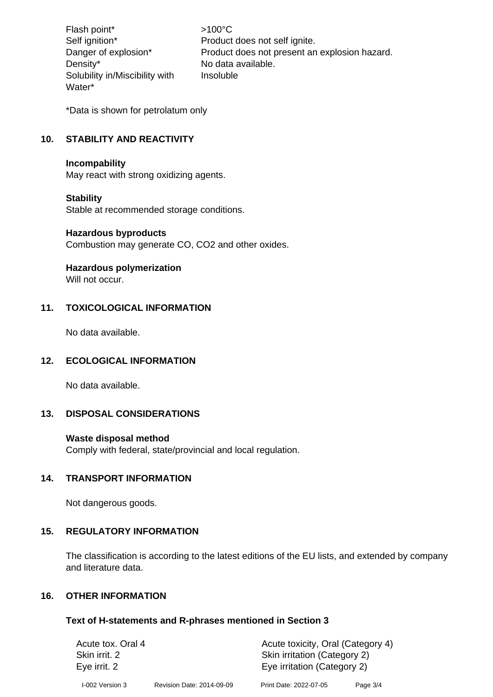Flash point\*  $>100^{\circ}$ C Density\* No data available. Solubility in/Miscibility with Water\*

Self ignition\* Product does not self ignite. Danger of explosion\* Product does not present an explosion hazard. Insoluble

\*Data is shown for petrolatum only

# **10. STABILITY AND REACTIVITY**

#### **Incompability**

May react with strong oxidizing agents.

#### **Stability**

Stable at recommended storage conditions.

#### **Hazardous byproducts**

Combustion may generate CO, CO2 and other oxides.

#### **Hazardous polymerization**

Will not occur.

## **11. TOXICOLOGICAL INFORMATION**

No data available.

#### **12. ECOLOGICAL INFORMATION**

No data available.

# **13. DISPOSAL CONSIDERATIONS**

#### **Waste disposal method**

Comply with federal, state/provincial and local regulation.

#### **14. TRANSPORT INFORMATION**

Not dangerous goods.

#### **15. REGULATORY INFORMATION**

The classification is according to the latest editions of the EU lists, and extended by company and literature data.

#### **16. OTHER INFORMATION**

#### **Text of H-statements and R-phrases mentioned in Section 3**

| Acute tox. Oral 4 |                           | Acute toxicity, Oral (Category 4) |            |  |
|-------------------|---------------------------|-----------------------------------|------------|--|
| Skin irrit. 2     |                           | Skin irritation (Category 2)      |            |  |
| Eye irrit. 2      |                           | Eye irritation (Category 2)       |            |  |
| I-002 Version 3   | Revision Date: 2014-09-09 | Print Date: 2022-07-05            | Page $3/4$ |  |